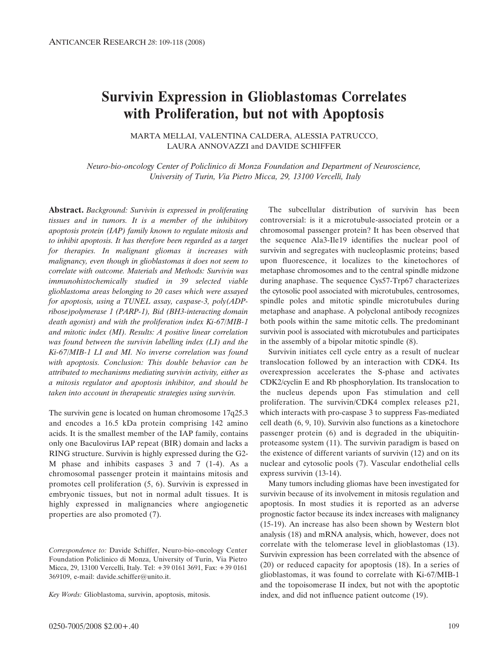# **Survivin Expression in Glioblastomas Correlates with Proliferation, but not with Apoptosis**

MARTA MELLAI, VALENTINA CALDERA, ALESSIA PATRUCCO, LAURA ANNOVAZZI and DAVIDE SCHIFFER

*Neuro-bio-oncology Center of Policlinico di Monza Foundation and Department of Neuroscience, University of Turin, Via Pietro Micca, 29, 13100 Vercelli, Italy*

**Abstract.** *Background: Survivin is expressed in proliferating tissues and in tumors. It is a member of the inhibitory apoptosis protein (IAP) family known to regulate mitosis and to inhibit apoptosis. It has therefore been regarded as a target for therapies. In malignant gliomas it increases with malignancy, even though in glioblastomas it does not seem to correlate with outcome. Materials and Methods: Survivin was immunohistochemically studied in 39 selected viable glioblastoma areas belonging to 20 cases which were assayed for apoptosis, using a TUNEL assay, caspase-3, poly(ADPribose)polymerase 1 (PARP-1), Bid (BH3-interacting domain death agonist) and with the proliferation index Ki-67/MIB-1* and mitotic index (MI). Results: A positive linear correlation *was found between the survivin labelling index (LI) and the Ki-67/MIB-1 LI and MI. No inverse correlation was found with apoptosis. Conclusion: This double behavior can be attributed to mechanisms mediating survivin activity, either as a mitosis regulator and apoptosis inhibitor, and should be taken into account in therapeutic strategies using survivin.*

The survivin gene is located on human chromosome 17q25.3 and encodes a 16.5 kDa protein comprising 142 amino acids. It is the smallest member of the IAP family, contains only one Baculovirus IAP repeat (BIR) domain and lacks a RING structure. Survivin is highly expressed during the G2- M phase and inhibits caspases 3 and 7 (1-4). As a chromosomal passenger protein it maintains mitosis and promotes cell proliferation (5, 6). Survivin is expressed in embryonic tissues, but not in normal adult tissues. It is highly expressed in malignancies where angiogenetic properties are also promoted (7).

*Key Words:* Glioblastoma, survivin, apoptosis, mitosis.

The subcellular distribution of survivin has been controversial: is it a microtubule-associated protein or a chromosomal passenger protein? It has been observed that the sequence Ala3-Ile19 identifies the nuclear pool of survivin and segregates with nucleoplasmic proteins; based upon fluorescence, it localizes to the kinetochores of metaphase chromosomes and to the central spindle midzone during anaphase. The sequence Cys57-Trp67 characterizes the cytosolic pool associated with microtubules, centrosomes, spindle poles and mitotic spindle microtubules during metaphase and anaphase. A polyclonal antibody recognizes both pools within the same mitotic cells. The predominant survivin pool is associated with microtubules and participates in the assembly of a bipolar mitotic spindle (8).

Survivin initiates cell cycle entry as a result of nuclear translocation followed by an interaction with CDK4. Its overexpression accelerates the S-phase and activates CDK2/cyclin E and Rb phosphorylation. Its translocation to the nucleus depends upon Fas stimulation and cell proliferation. The survivin/CDK4 complex releases p21, which interacts with pro-caspase 3 to suppress Fas-mediated cell death (6, 9, 10). Survivin also functions as a kinetochore passenger protein (6) and is degraded in the ubiquitinproteasome system (11). The survivin paradigm is based on the existence of different variants of survivin (12) and on its nuclear and cytosolic pools (7). Vascular endothelial cells express survivin (13-14).

Many tumors including gliomas have been investigated for survivin because of its involvement in mitosis regulation and apoptosis. In most studies it is reported as an adverse prognostic factor because its index increases with malignancy (15-19). An increase has also been shown by Western blot analysis (18) and mRNA analysis, which, however, does not correlate with the telomerase level in glioblastomas (13). Survivin expression has been correlated with the absence of (20) or reduced capacity for apoptosis (18). In a series of glioblastomas, it was found to correlate with Ki-67/MIB-1 and the topoisomerase II index, but not with the apoptotic index, and did not influence patient outcome (19).

*Correspondence to:* Davide Schiffer, Neuro-bio-oncology Center Foundation Policlinico di Monza, University of Turin, Via Pietro Micca, 29, 13100 Vercelli, Italy. Tel: +39 0161 3691, Fax: +39 0161 369109, e-mail: davide.schiffer@unito.it.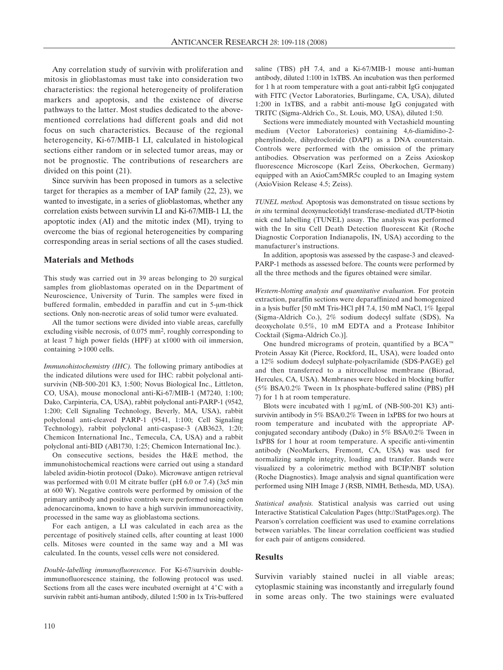Any correlation study of survivin with proliferation and mitosis in glioblastomas must take into consideration two characteristics: the regional heterogeneity of proliferation markers and apoptosis, and the existence of diverse pathways to the latter. Most studies dedicated to the abovementioned correlations had different goals and did not focus on such characteristics. Because of the regional heterogeneity, Ki-67/MIB-1 LI, calculated in histological sections either random or in selected tumor areas, may or not be prognostic. The contributions of researchers are divided on this point (21).

Since survivin has been proposed in tumors as a selective target for therapies as a member of IAP family (22, 23), we wanted to investigate, in a series of glioblastomas, whether any correlation exists between survivin LI and Ki-67/MIB-1 LI, the apoptotic index (AI) and the mitotic index (MI), trying to overcome the bias of regional heterogeneities by comparing corresponding areas in serial sections of all the cases studied.

#### **Materials and Methods**

This study was carried out in 39 areas belonging to 20 surgical samples from glioblastomas operated on in the Department of Neuroscience, University of Turin. The samples were fixed in buffered formalin, embedded in paraffin and cut in 5-µm-thick sections. Only non-necrotic areas of solid tumor were evaluated.

All the tumor sections were divided into viable areas, carefully excluding visible necrosis, of 0.075 mm2, roughly corresponding to at least 7 high power fields (HPF) at x1000 with oil immersion, containing >1000 cells.

*Immunohistochemistry (IHC).* The following primary antibodies at the indicated dilutions were used for IHC: rabbit polyclonal antisurvivin (NB-500-201 K3, 1:500; Novus Biological Inc., Littleton, CO, USA), mouse monoclonal anti-Ki-67/MIB-1 (M7240, 1:100; Dako, Carpinteria, CA, USA), rabbit polyclonal anti-PARP-1 (9542, 1:200; Cell Signaling Technology, Beverly, MA, USA), rabbit polyclonal anti-cleaved PARP-1 (9541, 1:100; Cell Signaling Technology), rabbit polyclonal anti-caspase-3 (AB3623, 1:20; Chemicon International Inc., Temecula, CA, USA) and a rabbit polyclonal anti-BID (AB1730, 1:25; Chemicon International Inc.).

On consecutive sections, besides the H&E method, the immunohistochemical reactions were carried out using a standard labeled avidin-biotin protocol (Dako). Microwave antigen retrieval was performed with 0.01 M citrate buffer (pH 6.0 or 7.4) (3x5 min at 600 W). Negative controls were performed by omission of the primary antibody and positive controls were performed using colon adenocarcinoma, known to have a high survivin immunoreactivity, processed in the same way as glioblastoma sections.

For each antigen, a LI was calculated in each area as the percentage of positively stained cells, after counting at least 1000 cells. Mitoses were counted in the same way and a MI was calculated. In the counts, vessel cells were not considered.

*Double-labelling immunofluorescence.* For Ki-67/survivin doubleimmunofluorescence staining, the following protocol was used. Sections from all the cases were incubated overnight at  $4^{\circ}$ C with a survivin rabbit anti-human antibody, diluted 1:500 in 1x Tris-buffered saline (TBS) pH 7.4, and a Ki-67/MIB-1 mouse anti-human antibody, diluted 1:100 in 1xTBS. An incubation was then performed for 1 h at room temperature with a goat anti-rabbit IgG conjugated with FITC (Vector Laboratories, Burlingame, CA, USA), diluted 1:200 in 1xTBS, and a rabbit anti-mouse IgG conjugated with TRITC (Sigma-Aldrich Co., St. Louis, MO, USA), diluted 1:50.

Sections were immediately mounted with Vectashield mounting medium (Vector Laboratories) containing 4,6-diamidino-2 phenylindole, dihydrocloride (DAPI) as a DNA counterstain. Controls were performed with the omission of the primary antibodies. Observation was performed on a Zeiss Axioskop fluorescence Microscope (Karl Zeiss, Oberkochen, Germany) equipped with an AxioCam5MR5c coupled to an Imaging system (AxioVision Release 4.5; Zeiss).

*TUNEL method.* Apoptosis was demonstrated on tissue sections by *in situ* terminal deoxynucleotidyl transferase-mediated dUTP-biotin nick end labelling (TUNEL) assay. The analysis was performed with the In situ Cell Death Detection fluorescent Kit (Roche Diagnostic Corporation Indianapolis, IN, USA) according to the manufacturer's instructions.

In addition, apoptosis was assessed by the caspase-3 and cleaved-PARP-1 methods as assessed before. The counts were performed by all the three methods and the figures obtained were similar.

*Western-blotting analysis and quantitative evaluation.* For protein extraction, paraffin sections were deparaffinized and homogenized in a lysis buffer [50 mM Tris-HCl pH 7.4, 150 mM NaCl, 1% Igepal (Sigma-Aldrich Co.), 2% sodium dodecyl sulfate (SDS), Na deoxycholate 0.5%, 10 mM EDTA and a Protease Inhibitor Cocktail (Sigma-Aldrich Co.)].

One hundred micrograms of protein, quantified by a BCA<sup> $m$ </sup> Protein Assay Kit (Pierce, Rockford, IL, USA), were loaded onto a 12% sodium dodecyl sulphate-polyacrilamide (SDS-PAGE) gel and then transferred to a nitrocellulose membrane (Biorad, Hercules, CA, USA). Membranes were blocked in blocking buffer (5% BSA/0.2% Tween in 1x phosphate-buffered saline (PBS) pH 7) for 1 h at room temperature.

Blots were incubated with 1  $\mu$ g/mL of (NB-500-201 K3) antisurvivin antibody in 5% BSA/0.2% Tween in 1xPBS for two hours at room temperature and incubated with the appropriate APconjugated secondary antibody (Dako) in 5% BSA/0.2% Tween in 1xPBS for 1 hour at room temperature. A specific anti-vimentin antibody (NeoMarkers, Fremont, CA, USA) was used for normalizing sample integrity, loading and transfer. Bands were visualized by a colorimetric method with BCIP/NBT solution (Roche Diagnostics). Image analysis and signal quantification were performed using NIH Image J (RSB, NIMH, Bethesda, MD, USA).

*Statistical analysis.* Statistical analysis was carried out using Interactive Statistical Calculation Pages (http://StatPages.org). The Pearson's correlation coefficient was used to examine correlations between variables. The linear correlation coefficient was studied for each pair of antigens considered.

# **Results**

Survivin variably stained nuclei in all viable areas; cytoplasmic staining was inconstantly and irregularly found in some areas only. The two stainings were evaluated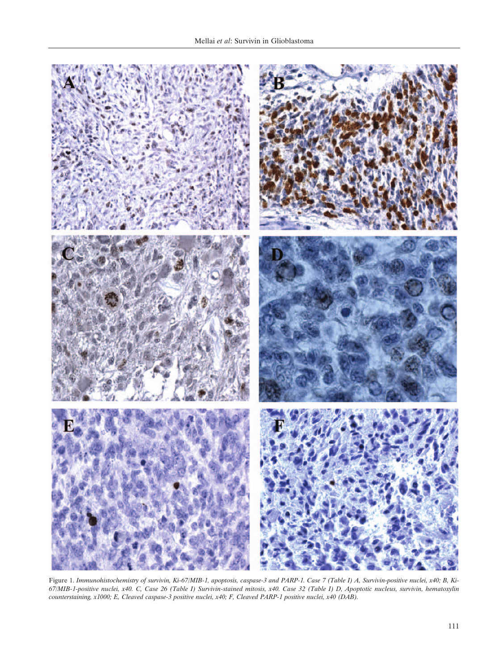

Figure 1. *Immunohistochemistry of survivin, Ki-67/MIB-1, apoptosis, caspase-3 and PARP-1. Case 7 (Table I) A, Survivin-positive nuclei, x40; B, Ki-67/MIB-1-positive nuclei, x40. C, Case 26 (Table I) Survivin-stained mitosis, x40. Case 32 (Table I) D, Apoptotic nucleus, survivin, hematoxylin counterstaining, x1000; E, Cleaved caspase-3 positive nuclei, x40; F, Cleaved PARP-1 positive nuclei, x40 (DAB).*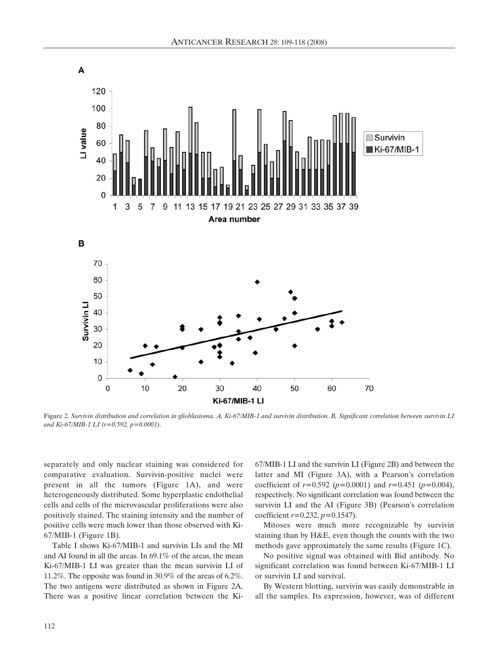

Figure 2. *Survivin distribution and correlation in glioblastoma. A, Ki-67/MIB-1 and survivin distribution. B, Significant correlation between survivin LI and Ki-67/MIB-1 LI (r=0.592, p=0.0001).*

separately and only nuclear staining was considered for comparative evaluation. Survivin-positive nuclei were present in all the tumors (Figure 1A), and were heterogeneously distributed. Some hyperplastic endothelial cells and cells of the microvascular proliferations were also positively stained. The staining intensity and the number of positive cells were much lower than those observed with Ki-67/MIB-1 (Figure 1B).

Table I shows Ki-67/MIB-1 and survivin LIs and the MI and AI found in all the areas. In 69.1% of the areas, the mean Ki-67/MIB-1 LI was greater than the mean survivin LI of 11.2%. The opposite was found in 30.9% of the areas of 6.2%. The two antigens were distributed as shown in Figure 2A. There was a positive linear correlation between the Ki67/MIB-1 LI and the survivin LI (Figure 2B) and between the latter and MI (Figure 3A), with a Pearson's correlation coefficient of *r=*0.592 (*p=*0.0001) and *r=*0.451 (*p=*0.004), respectively. No significant correlation was found between the survivin LI and the AI (Figure 3B) (Pearson's correlation coefficient *r=*0.232, *p=*0.1547).

Mitoses were much more recognizable by survivin staining than by H&E, even though the counts with the two methods gave approximately the same results (Figure 1C).

No positive signal was obtained with Bid antibody. No significant correlation was found between Ki-67/MIB-1 LI or survivin LI and survival.

By Western blotting, survivin was easily demonstrable in all the samples. Its expression, however, was of different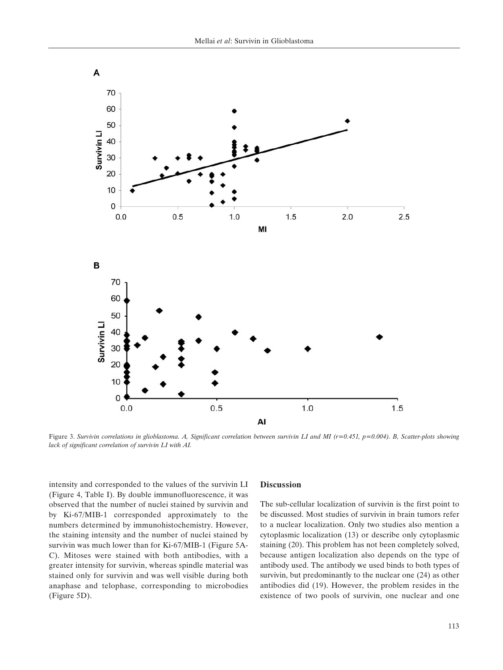

Figure 3. *Survivin correlations in glioblastoma. A, Significant correlation between survivin LI and MI (r=0.451, p=0.004). B, Scatter-plots showing lack of significant correlation of survivin LI with AI.*

intensity and corresponded to the values of the survivin LI (Figure 4, Table I). By double immunofluorescence, it was observed that the number of nuclei stained by survivin and by Ki-67/MIB-1 corresponded approximately to the numbers determined by immunohistochemistry. However, the staining intensity and the number of nuclei stained by survivin was much lower than for Ki-67/MIB-1 (Figure 5A-C). Mitoses were stained with both antibodies, with a greater intensity for survivin, whereas spindle material was stained only for survivin and was well visible during both anaphase and telophase, corresponding to microbodies (Figure 5D).

### **Discussion**

The sub-cellular localization of survivin is the first point to be discussed. Most studies of survivin in brain tumors refer to a nuclear localization. Only two studies also mention a cytoplasmic localization (13) or describe only cytoplasmic staining (20). This problem has not been completely solved, because antigen localization also depends on the type of antibody used. The antibody we used binds to both types of survivin, but predominantly to the nuclear one (24) as other antibodies did (19). However, the problem resides in the existence of two pools of survivin, one nuclear and one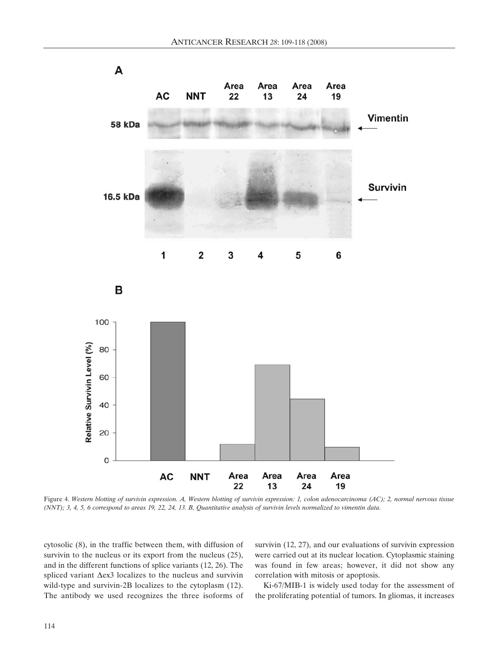

Figure 4. *Western blotting of survivin expression. A, Western blotting of survivin expression: 1, colon adenocarcinoma (AC); 2, normal nervous tissue (NNT); 3, 4, 5, 6 correspond to areas 19, 22, 24, 13. B, Quantitative analysis of survivin levels normalized to vimentin data.*

cytosolic (8), in the traffic between them, with diffusion of survivin to the nucleus or its export from the nucleus  $(25)$ , and in the different functions of splice variants (12, 26). The spliced variant  $\Delta$ ex3 localizes to the nucleus and survivin wild-type and survivin-2B localizes to the cytoplasm (12). The antibody we used recognizes the three isoforms of

survivin (12, 27), and our evaluations of survivin expression were carried out at its nuclear location. Cytoplasmic staining was found in few areas; however, it did not show any correlation with mitosis or apoptosis.

Ki-67/MIB-1 is widely used today for the assessment of the proliferating potential of tumors. In gliomas, it increases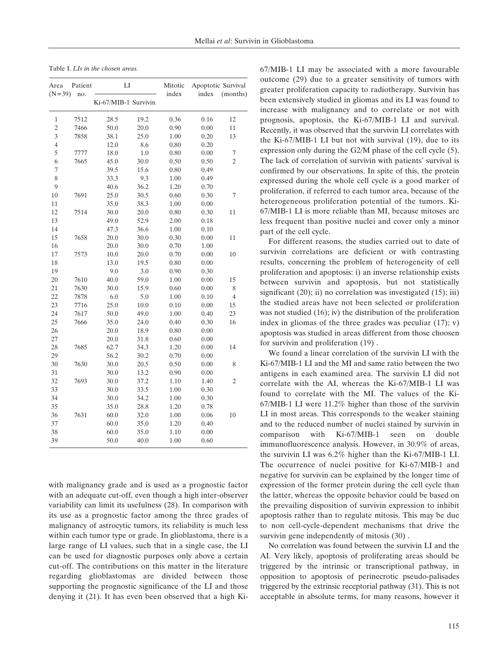Table I. *LIs in the chosen areas.*

| Area           | Patient | LI                   |      | Mitotic | Apoptotic Survival |                |
|----------------|---------|----------------------|------|---------|--------------------|----------------|
| $(N=39)$       | no.     | Ki-67/MIB-1 Survivin |      | index   | index              | (months)       |
| 1              | 7512    | 28.5                 | 19.2 | 0.36    | 0.16               | 12             |
| $\overline{2}$ | 7466    | 50.0                 | 20.0 | 0.90    | 0.00               | 11             |
| 3              | 7858    | 38.1                 | 25.0 | 1.00    | 0.20               | 13             |
| 4              |         | 12.0                 | 8.6  | 0.80    | 0.20               |                |
| 5              | 7777    | 18.0                 | 1.0  | 0.80    | 0.00               | 7              |
| 6              | 7665    | 45.0                 | 30.0 | 0.50    | 0.50               | 2              |
| 7              |         | 39.5                 | 15.6 | 0.80    | 0.49               |                |
| 8              |         | 33.3                 | 9.3  | 1.00    | 0.49               |                |
| 9              |         | 40.6                 | 36.2 | 1.20    | 0.70               |                |
| 10             | 7691    | 25.0                 | 30.5 | 0.60    | 0.30               | $\overline{7}$ |
| 11             |         | 35.0                 | 38.3 | 1.00    | 0.00               |                |
| 12             | 7514    | 30.0                 | 20.0 | 0.80    | 0.30               | 11             |
| 13             |         | 49.0                 | 52.9 | 2.00    | 0.18               |                |
| 14             |         | 47.3                 | 36.6 | 1.00    | 0.10               |                |
| 15             | 7658    | 20.0                 | 30.0 | 0.30    | 0.00               | 11             |
| 16             |         | 20.0                 | 30.0 | 0.70    | 1.00               |                |
| 17             | 7573    | 10.0                 | 20.0 | 0.70    | 0.00               | 10             |
| 18             |         | 13.0                 | 19.5 | 0.80    | 0.00               |                |
| 19             |         | 9.0                  | 3.0  | 0.90    | 0.30               |                |
| 20             | 7610    | 40.0                 | 59.0 | 1.00    | 0.00               | 15             |
| 21             | 7630    | 30.0                 | 15.9 | 0.60    | 0.00               | 8              |
| 22             | 7878    | 6.0                  | 5.0  | 1.00    | 0.10               | $\overline{4}$ |
| 23             | 7716    | 25.0                 | 10.0 | 0.10    | 0.00               | 15             |
| 24             | 7617    | 50.0                 | 49.0 | 1.00    | 0.40               | 23             |
| 25             | 7666    | 35.0                 | 24.0 | 0.40    | 0.30               | 16             |
| 26             |         | 20.0                 | 18.9 | 0.80    | 0.00               |                |
| 27             |         | 20.0                 | 31.8 | 0.60    | 0.00               |                |
| 28             | 7685    | 62.7                 | 34.3 | 1.20    | 0.00               | 14             |
| 29             |         | 56.2                 | 30.2 | 0.70    | 0.00               |                |
| 30             | 7630    | 30.0                 | 20.5 | 0.50    | 0.00               | 8              |
| 31             |         | 30.0                 | 13.2 | 0.90    | 0.00               |                |
| 32             | 7693    | 30.0                 | 37.2 | 1.10    | 1.40               | $\overline{2}$ |
| 33             |         | 30.0                 | 33.5 | 1.00    | 0.30               |                |
| 34             |         | 30.0                 | 34.2 | 1.00    | 0.30               |                |
| 35             |         | 35.0                 | 28.8 | 1.20    | 0.78               |                |
| 36             | 7631    | 60.0                 | 32.0 | 1.00    | 0.06               | 10             |
| 37             |         | 60.0                 | 35.0 | 1.20    | 0.40               |                |
| 38             |         | 60.0                 | 35.0 | 1.10    | 0.00               |                |
| 39             |         | 50.0                 | 40.0 | 1.00    | 0.60               |                |

with malignancy grade and is used as a prognostic factor with an adequate cut-off, even though a high inter-observer variability can limit its usefulness (28). In comparison with its use as a prognostic factor among the three grades of malignancy of astrocytic tumors, its reliability is much less within each tumor type or grade. In glioblastoma, there is a large range of LI values, such that in a single case, the LI can be used for diagnostic purposes only above a certain cut-off. The contributions on this matter in the literature regarding glioblastomas are divided between those supporting the prognostic significance of the LI and those denying it (21). It has even been observed that a high Ki67/MIB-1 LI may be associated with a more favourable outcome (29) due to a greater sensitivity of tumors with greater proliferation capacity to radiotherapy. Survivin has been extensively studied in gliomas and its LI was found to increase with malignancy and to correlate or not with prognosis, apoptosis, the Ki-67/MIB-1 LI and survival. Recently, it was observed that the survivin LI correlates with the Ki-67/MIB-1 LI but not with survival (19), due to its expression only during the G2/M phase of the cell cycle (5). The lack of correlation of survivin with patients' survival is confirmed by our observations. In spite of this, the protein expressed during the whole cell cycle is a good marker of proliferation, if referred to each tumor area, because of the heterogeneous proliferation potential of the tumors. Ki-67/MIB-1 LI is more reliable than MI, because mitoses are less frequent than positive nuclei and cover only a minor part of the cell cycle.

For different reasons, the studies carried out to date of survivin correlations are deficient or with contrasting results, concerning the problem of heterogeneity of cell proliferation and apoptosis: i) an inverse relationship exists between survivin and apoptosis, but not statistically significant  $(20)$ ; ii) no correlation was investigated  $(15)$ ; iii) the studied areas have not been selected or proliferation was not studied (16); iv) the distribution of the proliferation index in gliomas of the three grades was peculiar (17); v) apoptosis was studied in areas different from those choosen for survivin and proliferation (19) .

We found a linear correlation of the survivin LI with the Ki-67/MIB-1 LI and the MI and same ratio between the two antigens in each examined area. The survivin LI did not correlate with the AI, whereas the Ki-67/MIB-1 LI was found to correlate with the MI. The values of the Ki-67/MIB-1 LI were 11.2% higher than those of the survivin LI in most areas. This corresponds to the weaker staining and to the reduced number of nuclei stained by survivin in comparison with Ki-67/MIB-1 seen on double immunofluorescence analysis. However, in 30.9% of areas, the survivin LI was 6.2% higher than the Ki-67/MIB-1 LI. The occurrence of nuclei positive for Ki-67/MIB-1 and negative for survivin can be explained by the longer time of expression of the former protein during the cell cycle than the latter, whereas the opposite behavior could be based on the prevailing disposition of survivin expression to inhibit apoptosis rather than to regulate mitosis. This may be due to non cell-cycle-dependent mechanisms that drive the survivin gene independently of mitosis (30) .

No correlation was found between the survivin LI and the AI. Very likely, apoptosis of proliferating areas should be triggered by the intrinsic or transcriptional pathway, in opposition to apoptosis of perinecrotic pseudo-palisades triggered by the extrinsic receptorial pathway (31). This is not acceptable in absolute terms, for many reasons, however it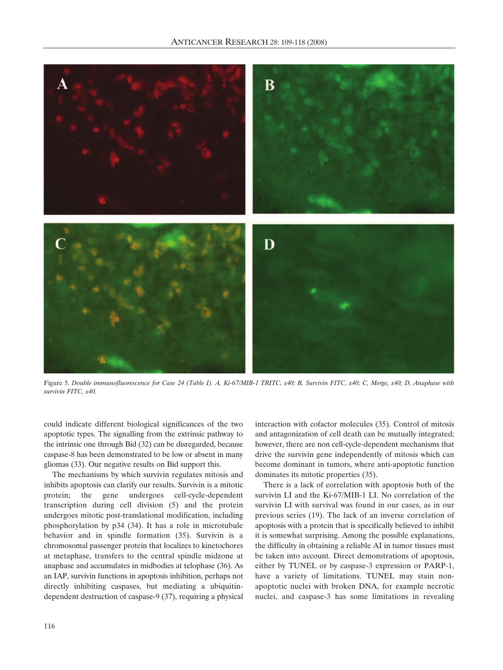

Figure 5. *Double immunofluorescence for Case 24 (Table I). A, Ki-67/MIB-1 TRITC, x40; B, Survivin FITC, x40; C, Merge, x40; D, Anaphase with survivin FITC, x40.*

could indicate different biological significances of the two apoptotic types. The signalling from the extrinsic pathway to the intrinsic one through Bid (32) can be disregarded, because caspase-8 has been demonstrated to be low or absent in many gliomas (33). Our negative results on Bid support this.

The mechanisms by which survivin regulates mitosis and inhibits apoptosis can clarify our results. Survivin is a mitotic protein; the gene undergoes cell-cycle-dependent transcription during cell division (5) and the protein undergoes mitotic post-translational modification, including phosphorylation by p34 (34). It has a role in microtubule behavior and in spindle formation (35). Survivin is a chromosomal passenger protein that localizes to kinetochores at metaphase, transfers to the central spindle midzone at anaphase and accumulates in midbodies at telophase (36). As an IAP, survivin functions in apoptosis inhibition, perhaps not directly inhibiting caspases, but mediating a ubiquitindependent destruction of caspase-9 (37), requiring a physical

interaction with cofactor molecules (35). Control of mitosis and antagonization of cell death can be mutually integrated; however, there are non cell-cycle-dependent mechanisms that drive the survivin gene independently of mitosis which can become dominant in tumors, where anti-apoptotic function dominates its mitotic properties (35).

There is a lack of correlation with apoptosis both of the survivin LI and the Ki-67/MIB-1 LI. No correlation of the survivin LI with survival was found in our cases, as in our previous series (19). The lack of an inverse correlation of apoptosis with a protein that is specifically believed to inhibit it is somewhat surprising. Among the possible explanations, the difficulty in obtaining a reliable AI in tumor tissues must be taken into account. Direct demonstrations of apoptosis, either by TUNEL or by caspase-3 expression or PARP-1, have a variety of limitations. TUNEL may stain nonapoptotic nuclei with broken DNA, for example necrotic nuclei, and caspase-3 has some limitations in revealing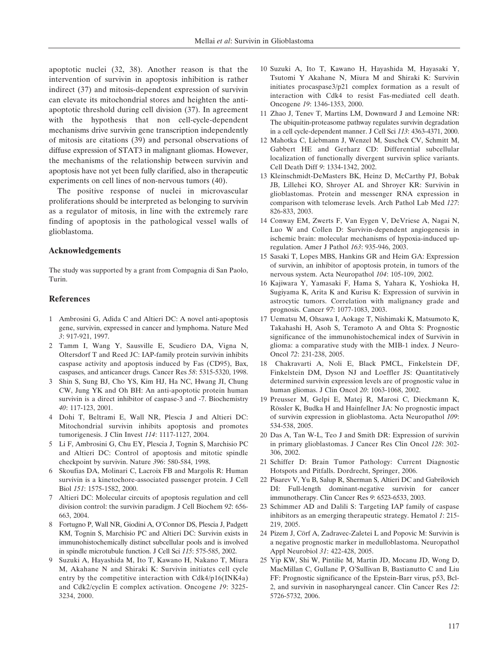apoptotic nuclei (32, 38). Another reason is that the intervention of survivin in apoptosis inhibition is rather indirect (37) and mitosis-dependent expression of survivin can elevate its mitochondrial stores and heighten the antiapoptotic threshold during cell division (37). In agreement with the hypothesis that non cell-cycle-dependent mechanisms drive survivin gene transcription independently of mitosis are citations (39) and personal observations of diffuse expression of STAT3 in malignant gliomas. However, the mechanisms of the relationship between survivin and apoptosis have not yet been fully clarified, also in therapeutic experiments on cell lines of non-nervous tumors (40).

The positive response of nuclei in microvascular proliferations should be interpreted as belonging to survivin as a regulator of mitosis, in line with the extremely rare finding of apoptosis in the pathological vessel walls of glioblastoma.

## **Acknowledgements**

The study was supported by a grant from Compagnia di San Paolo, Turin.

#### **References**

- 1 Ambrosini G, Adida C and Altieri DC: A novel anti-apoptosis gene, survivin, expressed in cancer and lymphoma. Nature Med *3*: 917-921, 1997.
- 2 Tamm I, Wang Y, Sausville E, Scudiero DA, Vigna N, Oltersdorf T and Reed JC: IAP-family protein survivin inhibits caspase activity and apoptosis induced by Fas (CD95), Bax, caspases, and anticancer drugs. Cancer Res *58*: 5315-5320, 1998.
- 3 Shin S, Sung BJ, Cho YS, Kim HJ, Ha NC, Hwang JI, Chung CW, Jung YK and Oh BH: An anti-apoptotic protein human survivin is a direct inhibitor of caspase-3 and -7. Biochemistry *40*: 117-123, 2001.
- 4 Dohi T, Beltrami E, Wall NR, Plescia J and Altieri DC: Mitochondrial survivin inhibits apoptosis and promotes tumorigenesis. J Clin Invest *114*: 1117-1127, 2004.
- 5 Li F, Ambrosini G, Chu EY, Plescia J, Tognin S, Marchisio PC and Altieri DC: Control of apoptosis and mitotic spindle checkpoint by survivin. Nature *396*: 580-584, 1998.
- 6 Skoufias DA, Molinari C, Lacroix FB and Margolis R: Human survivin is a kinetochore-associated passenger protein. J Cell Biol *151*: 1575-1582, 2000.
- 7 Altieri DC: Molecular circuits of apoptosis regulation and cell division control: the survivin paradigm. J Cell Biochem *92*: 656- 663, 2004.
- 8 Fortugno P, Wall NR, Giodini A, O'Connor DS, Plescia J, Padgett KM, Tognin S, Marchisio PC and Altieri DC: Survivin exists in immunohistochemically distinct subcellular pools and is involved in spindle microtubule function. J Cell Sci *115*: 575-585, 2002.
- 9 Suzuki A, Hayashida M, Ito T, Kawano H, Nakano T, Miura M, Akahane N and Shiraki K: Survivin initiates cell cycle entry by the competitive interaction with Cdk4/p16(INK4a) and Cdk2/cyclin E complex activation. Oncogene *19*: 3225- 3234, 2000.
- 10 Suzuki A, Ito T, Kawano H, Hayashida M, Hayasaki Y, Tsutomi Y Akahane N, Miura M and Shiraki K: Survivin initiates procaspase3/p21 complex formation as a result of interaction with Cdk4 to resist Fas-mediated cell death. Oncogene *19*: 1346-1353, 2000.
- 11 Zhao J, Tenev T, Martins LM, Downward J and Lemoine NR: The ubiquitin-proteasome pathway regulates survivin degradation in a cell cycle-dependent manner. J Cell Sci *113*: 4363-4371, 2000.
- 12 Mahotka C, Liebmann J, Wenzel M, Suschek CV, Schmitt M, Gabbert HE and Gerharz CD: Differential subcellular localization of functionally divergent survivin splice variants. Cell Death Diff *9*: 1334-1342, 2002.
- 13 Kleinschmidt-DeMasters BK, Heinz D, McCarthy PJ, Bobak JB, Lillehei KO, Shroyer AL and Shroyer KR: Survivin in glioblastomas. Protein and messenger RNA expression in comparison with telomerase levels. Arch Pathol Lab Med *127*: 826-833, 2003.
- 14 Conway EM, Zwerts F, Van Eygen V, DeVriese A, Nagai N, Luo W and Collen D: Survivin-dependent angiogenesis in ischemic brain: molecular mechanisms of hypoxia-induced upregulation. Amer J Pathol *163*: 935-946, 2003.
- 15 Sasaki T, Lopes MBS, Hankins GR and Heim GA: Expression of survivin, an inhibitor of apoptosis protein, in tumors of the nervous system. Acta Neuropathol *104*: 105-109, 2002.
- 16 Kajiwara Y, Yamasaki F, Hama S, Yahara K, Yoshioka H, Sugiyama K, Arita K and Kurisu K: Expression of survivin in astrocytic tumors. Correlation with malignancy grade and prognosis. Cancer *97*: 1077-1083, 2003.
- 17 Uematsu M, Ohsawa I, Aokage T, Nishimaki K, Matsumoto K, Takahashi H, Asoh S, Teramoto A and Ohta S: Prognostic significance of the immunohistochemical index of Survivin in glioma: a comparative study with the MIB-1 index. J Neuro-Oncol *72*: 231-238, 2005.
- 18 Chakravarti A, Noli E, Black PMCL, Finkelstein DF, Finkelstein DM, Dyson NJ and Loeffler JS: Quantitatively determined survivin expression levels are of prognostic value in human gliomas. J Clin Oncol *20*: 1063-1068, 2002.
- 19 Preusser M, Gelpi E, Matej R, Marosi C, Dieckmann K, Rössler K, Budka H and Hainfellner JA: No prognostic impact of survivin expression in glioblastoma. Acta Neuropathol *109*: 534-538, 2005.
- 20 Das A, Tan W-L, Teo J and Smith DR: Expression of survivin in primary glioblastomas. J Cancer Res Clin Oncol *128*: 302- 306, 2002.
- 21 Schiffer D: Brain Tumor Pathology: Current Diagnostic Hotspots and Pitfalls. Dordrecht, Springer, 2006.
- 22 Pisarev V, Yu B, Salup R, Sherman S, Altieri DC and Gabrilovich DI: Full-length dominant-negative survivin for cancer immunotherapy. Clin Cancer Res *9*: 6523-6533, 2003.
- 23 Schimmer AD and Dalili S: Targeting IAP family of caspase inhibitors as an emerging therapeutic strategy. Hematol *1*: 215- 219, 2005.
- 24 Pizem J, Cörf A, Zadravec-Zaletei L and Popovic M: Survivin is a negative prognostic marker in medulloblastoma. Neuropathol Appl Neurobiol *31*: 422-428, 2005.
- 25 Yip KW, Shi W, Pintilie M, Martin JD, Mocanu JD, Wong D, MacMillan C, Gullane P, O'Sullivan B, Bastianutto C and Liu FF: Prognostic significance of the Epstein-Barr virus, p53, Bcl-2, and survivin in nasopharyngeal cancer. Clin Cancer Res *12*: 5726-5732, 2006.